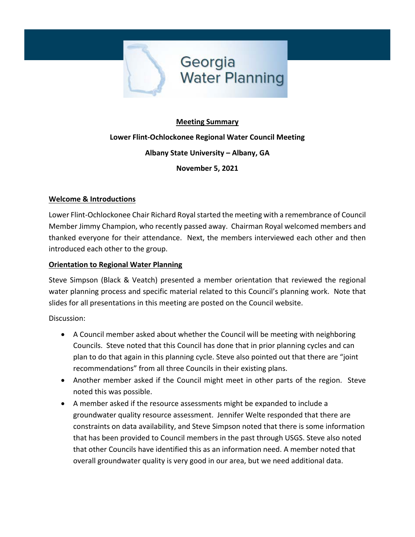

# **Meeting Summary Lower Flint-Ochlockonee Regional Water Council Meeting Albany State University – Albany, GA November 5, 2021**

# **Welcome & Introductions**

Lower Flint-Ochlockonee Chair Richard Royal started the meeting with a remembrance of Council Member Jimmy Champion, who recently passed away. Chairman Royal welcomed members and thanked everyone for their attendance. Next, the members interviewed each other and then introduced each other to the group.

## **Orientation to Regional Water Planning**

Steve Simpson (Black & Veatch) presented a member orientation that reviewed the regional water planning process and specific material related to this Council's planning work. Note that slides for all presentations in this meeting are posted on the Council website.

Discussion:

- A Council member asked about whether the Council will be meeting with neighboring Councils. Steve noted that this Council has done that in prior planning cycles and can plan to do that again in this planning cycle. Steve also pointed out that there are "joint recommendations" from all three Councils in their existing plans.
- Another member asked if the Council might meet in other parts of the region. Steve noted this was possible.
- A member asked if the resource assessments might be expanded to include a groundwater quality resource assessment. Jennifer Welte responded that there are constraints on data availability, and Steve Simpson noted that there is some information that has been provided to Council members in the past through USGS. Steve also noted that other Councils have identified this as an information need. A member noted that overall groundwater quality is very good in our area, but we need additional data.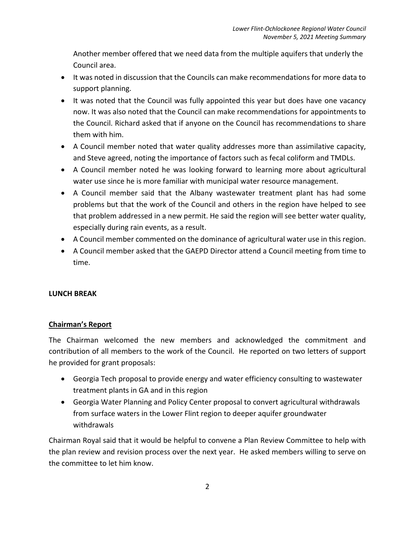Another member offered that we need data from the multiple aquifers that underly the Council area.

- It was noted in discussion that the Councils can make recommendations for more data to support planning.
- It was noted that the Council was fully appointed this year but does have one vacancy now. It was also noted that the Council can make recommendations for appointments to the Council. Richard asked that if anyone on the Council has recommendations to share them with him.
- A Council member noted that water quality addresses more than assimilative capacity, and Steve agreed, noting the importance of factors such as fecal coliform and TMDLs.
- A Council member noted he was looking forward to learning more about agricultural water use since he is more familiar with municipal water resource management.
- A Council member said that the Albany wastewater treatment plant has had some problems but that the work of the Council and others in the region have helped to see that problem addressed in a new permit. He said the region will see better water quality, especially during rain events, as a result.
- A Council member commented on the dominance of agricultural water use in this region.
- A Council member asked that the GAEPD Director attend a Council meeting from time to time.

## **LUNCH BREAK**

## **Chairman's Report**

The Chairman welcomed the new members and acknowledged the commitment and contribution of all members to the work of the Council. He reported on two letters of support he provided for grant proposals:

- Georgia Tech proposal to provide energy and water efficiency consulting to wastewater treatment plants in GA and in this region
- Georgia Water Planning and Policy Center proposal to convert agricultural withdrawals from surface waters in the Lower Flint region to deeper aquifer groundwater withdrawals

Chairman Royal said that it would be helpful to convene a Plan Review Committee to help with the plan review and revision process over the next year. He asked members willing to serve on the committee to let him know.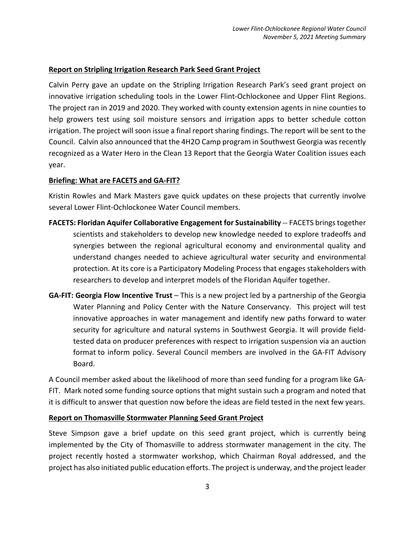#### **Report on Stripling Irrigation Research Park Seed Grant Project**

Calvin Perry gave an update on the Stripling Irrigation Research Park's seed grant project on innovative irrigation scheduling tools in the Lower Flint-Ochlockonee and Upper Flint Regions. The project ran in 2019 and 2020. They worked with county extension agents in nine counties to help growers test using soil moisture sensors and irrigation apps to better schedule cotton irrigation. The project will soon issue a final report sharing findings. The report will be sent to the Council. Calvin also announced that the 4H2O Camp program in Southwest Georgia was recently recognized as a Water Hero in the Clean 13 Report that the Georgia Water Coalition issues each year.

#### **Briefing: What are FACETS and GA-FIT?**

Kristin Rowles and Mark Masters gave quick updates on these projects that currently involve several Lower Flint-Ochlockonee Water Council members.

- **FACETS: Floridan Aquifer Collaborative Engagement for Sustainability** -- FACETS brings together scientists and stakeholders to develop new knowledge needed to explore tradeoffs and synergies between the regional agricultural economy and environmental quality and understand changes needed to achieve agricultural water security and environmental protection. At its core is a Participatory Modeling Process that engages stakeholders with researchers to develop and interpret models of the Floridan Aquifer together.
- **GA-FIT: Georgia Flow Incentive Trust** This is a new project led by a partnership of the Georgia Water Planning and Policy Center with the Nature Conservancy. This project will test innovative approaches in water management and identify new paths forward to water security for agriculture and natural systems in Southwest Georgia. It will provide fieldtested data on producer preferences with respect to irrigation suspension via an auction format to inform policy. Several Council members are involved in the GA-FIT Advisory Board.

A Council member asked about the likelihood of more than seed funding for a program like GA-FIT. Mark noted some funding source options that might sustain such a program and noted that it is difficult to answer that question now before the ideas are field tested in the next few years.

#### **Report on Thomasville Stormwater Planning Seed Grant Project**

Steve Simpson gave a brief update on this seed grant project, which is currently being implemented by the City of Thomasville to address stormwater management in the city. The project recently hosted a stormwater workshop, which Chairman Royal addressed, and the project has also initiated public education efforts. The project is underway, and the project leader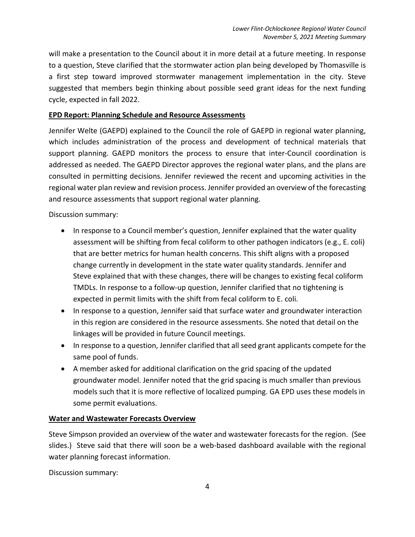will make a presentation to the Council about it in more detail at a future meeting. In response to a question, Steve clarified that the stormwater action plan being developed by Thomasville is a first step toward improved stormwater management implementation in the city. Steve suggested that members begin thinking about possible seed grant ideas for the next funding cycle, expected in fall 2022.

#### **EPD Report: Planning Schedule and Resource Assessments**

Jennifer Welte (GAEPD) explained to the Council the role of GAEPD in regional water planning, which includes administration of the process and development of technical materials that support planning. GAEPD monitors the process to ensure that inter-Council coordination is addressed as needed. The GAEPD Director approves the regional water plans, and the plans are consulted in permitting decisions. Jennifer reviewed the recent and upcoming activities in the regional water plan review and revision process. Jennifer provided an overview of the forecasting and resource assessments that support regional water planning.

Discussion summary:

- In response to a Council member's question, Jennifer explained that the water quality assessment will be shifting from fecal coliform to other pathogen indicators (e.g., E. coli) that are better metrics for human health concerns. This shift aligns with a proposed change currently in development in the state water quality standards. Jennifer and Steve explained that with these changes, there will be changes to existing fecal coliform TMDLs. In response to a follow-up question, Jennifer clarified that no tightening is expected in permit limits with the shift from fecal coliform to E. coli.
- In response to a question, Jennifer said that surface water and groundwater interaction in this region are considered in the resource assessments. She noted that detail on the linkages will be provided in future Council meetings.
- In response to a question, Jennifer clarified that all seed grant applicants compete for the same pool of funds.
- A member asked for additional clarification on the grid spacing of the updated groundwater model. Jennifer noted that the grid spacing is much smaller than previous models such that it is more reflective of localized pumping. GA EPD uses these models in some permit evaluations.

#### **Water and Wastewater Forecasts Overview**

Steve Simpson provided an overview of the water and wastewater forecasts for the region. (See slides.) Steve said that there will soon be a web-based dashboard available with the regional water planning forecast information.

Discussion summary: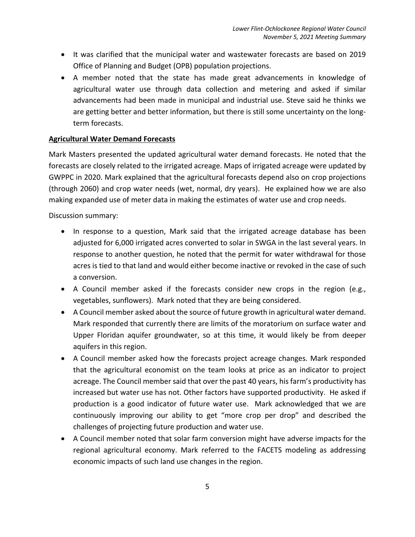- It was clarified that the municipal water and wastewater forecasts are based on 2019 Office of Planning and Budget (OPB) population projections.
- A member noted that the state has made great advancements in knowledge of agricultural water use through data collection and metering and asked if similar advancements had been made in municipal and industrial use. Steve said he thinks we are getting better and better information, but there is still some uncertainty on the longterm forecasts.

#### **Agricultural Water Demand Forecasts**

Mark Masters presented the updated agricultural water demand forecasts. He noted that the forecasts are closely related to the irrigated acreage. Maps of irrigated acreage were updated by GWPPC in 2020. Mark explained that the agricultural forecasts depend also on crop projections (through 2060) and crop water needs (wet, normal, dry years). He explained how we are also making expanded use of meter data in making the estimates of water use and crop needs.

Discussion summary:

- In response to a question, Mark said that the irrigated acreage database has been adjusted for 6,000 irrigated acres converted to solar in SWGA in the last several years. In response to another question, he noted that the permit for water withdrawal for those acres is tied to that land and would either become inactive or revoked in the case of such a conversion.
- A Council member asked if the forecasts consider new crops in the region (e.g., vegetables, sunflowers). Mark noted that they are being considered.
- A Council member asked about the source of future growth in agricultural water demand. Mark responded that currently there are limits of the moratorium on surface water and Upper Floridan aquifer groundwater, so at this time, it would likely be from deeper aquifers in this region.
- A Council member asked how the forecasts project acreage changes. Mark responded that the agricultural economist on the team looks at price as an indicator to project acreage. The Council member said that over the past 40 years, his farm's productivity has increased but water use has not. Other factors have supported productivity. He asked if production is a good indicator of future water use. Mark acknowledged that we are continuously improving our ability to get "more crop per drop" and described the challenges of projecting future production and water use.
- A Council member noted that solar farm conversion might have adverse impacts for the regional agricultural economy. Mark referred to the FACETS modeling as addressing economic impacts of such land use changes in the region.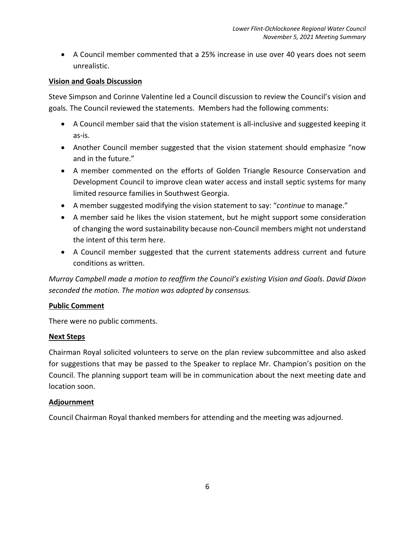• A Council member commented that a 25% increase in use over 40 years does not seem unrealistic.

#### **Vision and Goals Discussion**

Steve Simpson and Corinne Valentine led a Council discussion to review the Council's vision and goals. The Council reviewed the statements. Members had the following comments:

- A Council member said that the vision statement is all-inclusive and suggested keeping it as-is.
- Another Council member suggested that the vision statement should emphasize "now and in the future."
- A member commented on the efforts of Golden Triangle Resource Conservation and Development Council to improve clean water access and install septic systems for many limited resource families in Southwest Georgia.
- A member suggested modifying the vision statement to say: "*continue* to manage."
- A member said he likes the vision statement, but he might support some consideration of changing the word sustainability because non-Council members might not understand the intent of this term here.
- A Council member suggested that the current statements address current and future conditions as written.

*Murray Campbell made a motion to reaffirm the Council's existing Vision and Goals. David Dixon seconded the motion. The motion was adopted by consensus.* 

#### **Public Comment**

There were no public comments.

#### **Next Steps**

Chairman Royal solicited volunteers to serve on the plan review subcommittee and also asked for suggestions that may be passed to the Speaker to replace Mr. Champion's position on the Council. The planning support team will be in communication about the next meeting date and location soon.

#### **Adjournment**

Council Chairman Royal thanked members for attending and the meeting was adjourned.